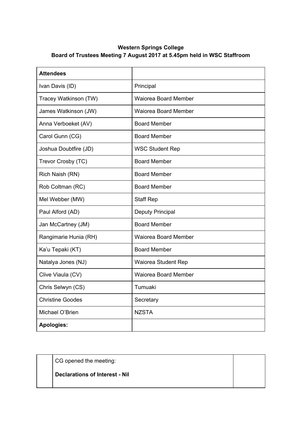## **Western Springs College Board of Trustees Meeting 7 August 2017 at 5.45pm held in WSC Staffroom**

| <b>Attendees</b>        |                             |
|-------------------------|-----------------------------|
| Ivan Davis (ID)         | Principal                   |
| Tracey Watkinson (TW)   | Waiorea Board Member        |
| James Watkinson (JW)    | Waiorea Board Member        |
| Anna Verboeket (AV)     | <b>Board Member</b>         |
| Carol Gunn (CG)         | <b>Board Member</b>         |
| Joshua Doubtfire (JD)   | <b>WSC Student Rep</b>      |
| Trevor Crosby (TC)      | <b>Board Member</b>         |
| Rich Naish (RN)         | <b>Board Member</b>         |
| Rob Coltman (RC)        | <b>Board Member</b>         |
| Mel Webber (MW)         | <b>Staff Rep</b>            |
| Paul Alford (AD)        | <b>Deputy Principal</b>     |
| Jan McCartney (JM)      | <b>Board Member</b>         |
| Rangimarie Hunia (RH)   | <b>Waiorea Board Member</b> |
| Ka'u Tepaki (KT)        | <b>Board Member</b>         |
| Natalya Jones (NJ)      | Waiorea Student Rep         |
| Clive Viaula (CV)       | Waiorea Board Member        |
| Chris Selwyn (CS)       | Tumuaki                     |
| <b>Christine Goodes</b> | Secretary                   |
| Michael O'Brien         | <b>NZSTA</b>                |
| <b>Apologies:</b>       |                             |

CG opened the meeting:

**Declarations of Interest - Nil**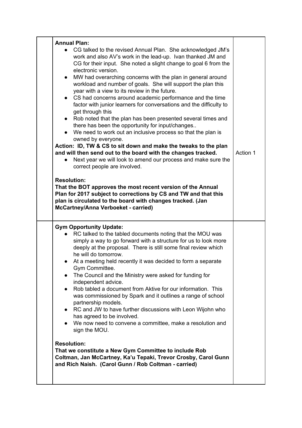| <b>Annual Plan:</b>                                                                                                                                                                                                                                                                                                                                                                                                                                                                                                                                                                                                                                                                                                                                                                                                                                                                                                                                                                                                        |          |
|----------------------------------------------------------------------------------------------------------------------------------------------------------------------------------------------------------------------------------------------------------------------------------------------------------------------------------------------------------------------------------------------------------------------------------------------------------------------------------------------------------------------------------------------------------------------------------------------------------------------------------------------------------------------------------------------------------------------------------------------------------------------------------------------------------------------------------------------------------------------------------------------------------------------------------------------------------------------------------------------------------------------------|----------|
| CG talked to the revised Annual Plan. She acknowledged JM's<br>work and also AV's work in the lead-up. Ivan thanked JM and<br>CG for their input. She noted a slight change to goal 6 from the<br>electronic version.<br>MW had overarching concerns with the plan in general around<br>$\bullet$<br>workload and number of goals. She will support the plan this<br>year with a view to its review in the future.<br>• CS had concerns around academic performance and the time<br>factor with junior learners for conversations and the difficulty to<br>get through this<br>Rob noted that the plan has been presented several times and<br>there has been the opportunity for input/changes<br>We need to work out an inclusive process so that the plan is<br>owned by everyone.<br>Action: ID, TW & CS to sit down and make the tweaks to the plan<br>and will then send out to the board with the changes tracked.<br>Next year we will look to amend our process and make sure the<br>correct people are involved. | Action 1 |
| <b>Resolution:</b><br>That the BOT approves the most recent version of the Annual<br>Plan for 2017 subject to corrections by CS and TW and that this<br>plan is circulated to the board with changes tracked. (Jan<br>McCartney/Anna Verboeket - carried)                                                                                                                                                                                                                                                                                                                                                                                                                                                                                                                                                                                                                                                                                                                                                                  |          |
| <b>Gym Opportunity Update:</b><br>RC talked to the tabled documents noting that the MOU was<br>simply a way to go forward with a structure for us to look more<br>deeply at the proposal. There is still some final review which<br>he will do tomorrow.<br>At a meeting held recently it was decided to form a separate<br>Gym Committee.<br>The Council and the Ministry were asked for funding for<br>independent advice.<br>Rob tabled a document from Aktive for our information. This<br>$\bullet$<br>was commissioned by Spark and it outlines a range of school<br>partnership models.<br>RC and JW to have further discussions with Leon Wijohn who<br>$\bullet$<br>has agreed to be involved.<br>We now need to convene a committee, make a resolution and<br>sign the MOU.<br><b>Resolution:</b><br>That we constitute a New Gym Committee to include Rob<br>Coltman, Jan McCartney, Ka'u Tepaki, Trevor Crosby, Carol Gunn<br>and Rich Naish. (Carol Gunn / Rob Coltman - carried)                             |          |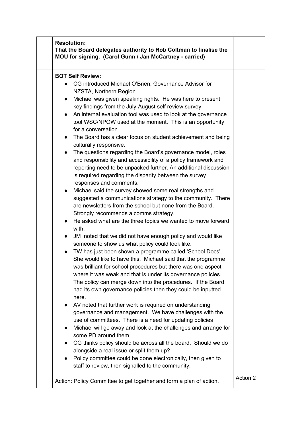| <b>Resolution:</b><br>That the Board delegates authority to Rob Coltman to finalise the<br>MOU for signing. (Carol Gunn / Jan McCartney - carried)                                                                                                                                                                                                                                                                                                                                                                                                                                                                                                                                                                                                                                                                                                                                                                                                                                                                                                                                                                                                                                                                                                                                                                                                                                                                                                                                                                                                                                                                                                                                                                                                                                                                                                                                                                                                                                                                                                                                                                                                                    |          |
|-----------------------------------------------------------------------------------------------------------------------------------------------------------------------------------------------------------------------------------------------------------------------------------------------------------------------------------------------------------------------------------------------------------------------------------------------------------------------------------------------------------------------------------------------------------------------------------------------------------------------------------------------------------------------------------------------------------------------------------------------------------------------------------------------------------------------------------------------------------------------------------------------------------------------------------------------------------------------------------------------------------------------------------------------------------------------------------------------------------------------------------------------------------------------------------------------------------------------------------------------------------------------------------------------------------------------------------------------------------------------------------------------------------------------------------------------------------------------------------------------------------------------------------------------------------------------------------------------------------------------------------------------------------------------------------------------------------------------------------------------------------------------------------------------------------------------------------------------------------------------------------------------------------------------------------------------------------------------------------------------------------------------------------------------------------------------------------------------------------------------------------------------------------------------|----------|
| <b>BOT Self Review:</b><br>CG introduced Michael O'Brien, Governance Advisor for<br>NZSTA, Northern Region.<br>Michael was given speaking rights. He was here to present<br>$\bullet$<br>key findings from the July-August self review survey.<br>An internal evaluation tool was used to look at the governance<br>$\bullet$<br>tool WSC/NPOW used at the moment. This is an opportunity<br>for a conversation.<br>The Board has a clear focus on student achievement and being<br>$\bullet$<br>culturally responsive.<br>The questions regarding the Board's governance model, roles<br>$\bullet$<br>and responsibility and accessibility of a policy framework and<br>reporting need to be unpacked further. An additional discussion<br>is required regarding the disparity between the survey<br>responses and comments.<br>Michael said the survey showed some real strengths and<br>suggested a communications strategy to the community. There<br>are newsletters from the school but none from the Board.<br>Strongly recommends a comms strategy.<br>He asked what are the three topics we wanted to move forward<br>$\bullet$<br>with.<br>JM noted that we did not have enough policy and would like<br>$\bullet$<br>someone to show us what policy could look like.<br>TW has just been shown a programme called 'School Docs'.<br>She would like to have this. Michael said that the programme<br>was brilliant for school procedures but there was one aspect<br>where it was weak and that is under its governance policies.<br>The policy can merge down into the procedures. If the Board<br>had its own governance policies then they could be inputted<br>here.<br>AV noted that further work is required on understanding<br>governance and management. We have challenges with the<br>use of committees. There is a need for updating policies<br>Michael will go away and look at the challenges and arrange for<br>$\bullet$<br>some PD around them.<br>CG thinks policy should be across all the board. Should we do<br>$\bullet$<br>alongside a real issue or split them up?<br>Policy committee could be done electronically, then given to |          |
| staff to review, then signalled to the community.<br>Action: Policy Committee to get together and form a plan of action.                                                                                                                                                                                                                                                                                                                                                                                                                                                                                                                                                                                                                                                                                                                                                                                                                                                                                                                                                                                                                                                                                                                                                                                                                                                                                                                                                                                                                                                                                                                                                                                                                                                                                                                                                                                                                                                                                                                                                                                                                                              | Action 2 |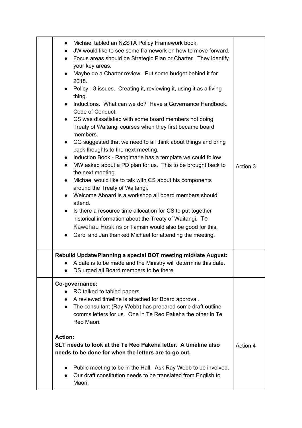|                                                                                                                                          | Michael tabled an NZSTA Policy Framework book.<br>$\bullet$<br>JW would like to see some framework on how to move forward.<br>Focus areas should be Strategic Plan or Charter. They identify<br>$\bullet$<br>your key areas.<br>Maybe do a Charter review. Put some budget behind it for<br>2018.<br>Policy - 3 issues. Creating it, reviewing it, using it as a living<br>$\bullet$<br>thing.<br>Inductions. What can we do? Have a Governance Handbook.<br>Code of Conduct.<br>• CS was dissatisfied with some board members not doing<br>Treaty of Waitangi courses when they first became board<br>members.<br>CG suggested that we need to all think about things and bring<br>$\bullet$<br>back thoughts to the next meeting.<br>Induction Book - Rangimarie has a template we could follow.<br>$\bullet$<br>MW asked about a PD plan for us. This to be brought back to<br>$\bullet$<br>the next meeting.<br>Michael would like to talk with CS about his components<br>$\bullet$<br>around the Treaty of Waitangi.<br>Welcome Aboard is a workshop all board members should<br>attend.<br>Is there a resource time allocation for CS to put together<br>$\bullet$<br>historical information about the Treaty of Waitangi. Te<br>Kawehau Hoskins or Tamsin would also be good for this.<br>• Carol and Jan thanked Michael for attending the meeting. | Action 3 |
|------------------------------------------------------------------------------------------------------------------------------------------|--------------------------------------------------------------------------------------------------------------------------------------------------------------------------------------------------------------------------------------------------------------------------------------------------------------------------------------------------------------------------------------------------------------------------------------------------------------------------------------------------------------------------------------------------------------------------------------------------------------------------------------------------------------------------------------------------------------------------------------------------------------------------------------------------------------------------------------------------------------------------------------------------------------------------------------------------------------------------------------------------------------------------------------------------------------------------------------------------------------------------------------------------------------------------------------------------------------------------------------------------------------------------------------------------------------------------------------------------------------|----------|
|                                                                                                                                          | Rebuild Update/Planning a special BOT meeting mid/late August:<br>• A date is to be made and the Ministry will determine this date<br>DS urged all Board members to be there.                                                                                                                                                                                                                                                                                                                                                                                                                                                                                                                                                                                                                                                                                                                                                                                                                                                                                                                                                                                                                                                                                                                                                                                |          |
|                                                                                                                                          | Co-governance:<br>RC talked to tabled papers.<br>A reviewed timeline is attached for Board approval.<br>The consultant (Ray Webb) has prepared some draft outline<br>$\bullet$<br>comms letters for us. One in Te Reo Pakeha the other in Te<br>Reo Maori.                                                                                                                                                                                                                                                                                                                                                                                                                                                                                                                                                                                                                                                                                                                                                                                                                                                                                                                                                                                                                                                                                                   |          |
| <b>Action:</b><br>SLT needs to look at the Te Reo Pakeha letter. A timeline also<br>needs to be done for when the letters are to go out. |                                                                                                                                                                                                                                                                                                                                                                                                                                                                                                                                                                                                                                                                                                                                                                                                                                                                                                                                                                                                                                                                                                                                                                                                                                                                                                                                                              | Action 4 |
|                                                                                                                                          | Public meeting to be in the Hall. Ask Ray Webb to be involved.<br>$\bullet$<br>Our draft constitution needs to be translated from English to<br>Maori.                                                                                                                                                                                                                                                                                                                                                                                                                                                                                                                                                                                                                                                                                                                                                                                                                                                                                                                                                                                                                                                                                                                                                                                                       |          |